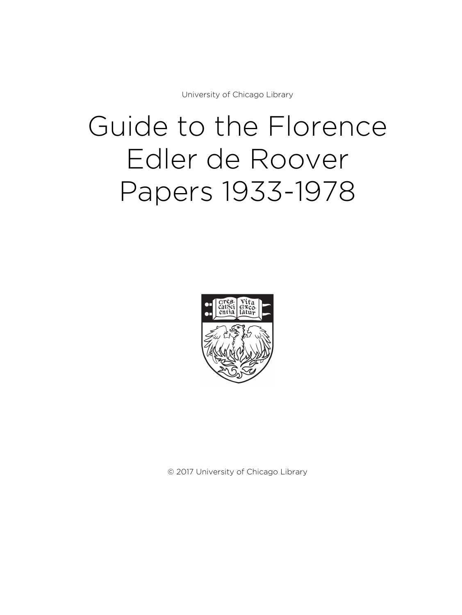University of Chicago Library

# Guide to the Florence Edler de Roover Papers 1933-1978



© 2017 University of Chicago Library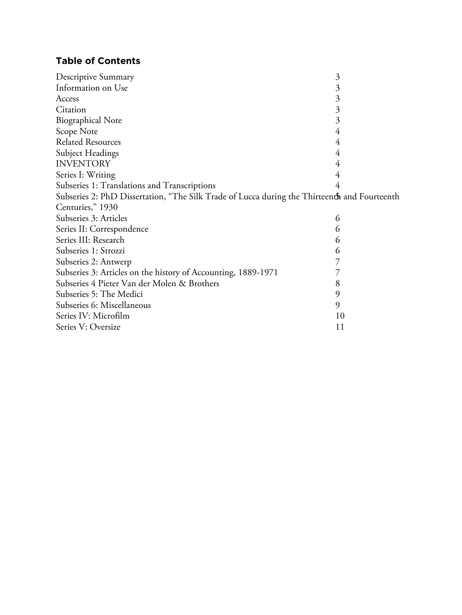# **Table of Contents**

| Descriptive Summary                                                                          | $\mathfrak{Z}$ |
|----------------------------------------------------------------------------------------------|----------------|
| Information on Use                                                                           | 3              |
| Access                                                                                       | $\mathfrak{Z}$ |
| Citation                                                                                     | 3              |
| <b>Biographical Note</b>                                                                     | 3              |
| Scope Note                                                                                   | 4              |
| <b>Related Resources</b>                                                                     | 4              |
| <b>Subject Headings</b>                                                                      | 4              |
| <b>INVENTORY</b>                                                                             | 4              |
| Series I: Writing                                                                            | 4              |
| Subseries 1: Translations and Transcriptions                                                 | 4              |
| Subseries 2: PhD Dissertation, "The Silk Trade of Lucca during the Thirteenth and Fourteenth |                |
| Centuries," 1930                                                                             |                |
| Subseries 3: Articles                                                                        | 6              |
| Series II: Correspondence                                                                    | 6              |
| Series III: Research                                                                         | 6              |
| Subseries 1: Strozzi                                                                         | 6              |
| Subseries 2: Antwerp                                                                         |                |
| Subseries 3: Articles on the history of Accounting, 1889-1971                                | 7              |
| Subseries 4 Pieter Van der Molen & Brothers                                                  | 8              |
| Subseries 5: The Medici                                                                      | 9              |
| Subseries 6: Miscellaneous                                                                   | 9              |
| Series IV: Microfilm                                                                         | 10             |
| Series V: Oversize                                                                           | 11             |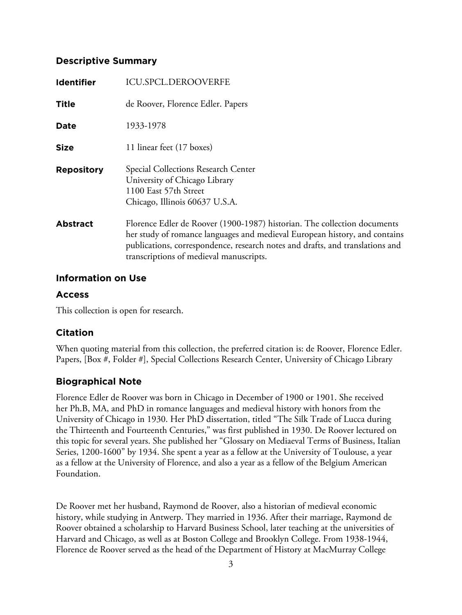## **Descriptive Summary**

| <b>Identifier</b> | <b>ICU.SPCL.DEROOVERFE</b>                                                                                                                                                                                                                                                         |
|-------------------|------------------------------------------------------------------------------------------------------------------------------------------------------------------------------------------------------------------------------------------------------------------------------------|
| <b>Title</b>      | de Roover, Florence Edler. Papers                                                                                                                                                                                                                                                  |
| Date              | 1933-1978                                                                                                                                                                                                                                                                          |
| <b>Size</b>       | 11 linear feet (17 boxes)                                                                                                                                                                                                                                                          |
| <b>Repository</b> | Special Collections Research Center<br>University of Chicago Library<br>1100 East 57th Street<br>Chicago, Illinois 60637 U.S.A.                                                                                                                                                    |
| <b>Abstract</b>   | Florence Edler de Roover (1900-1987) historian. The collection documents<br>her study of romance languages and medieval European history, and contains<br>publications, correspondence, research notes and drafts, and translations and<br>transcriptions of medieval manuscripts. |

## **Information on Use**

## **Access**

This collection is open for research.

## **Citation**

When quoting material from this collection, the preferred citation is: de Roover, Florence Edler. Papers, [Box #, Folder #], Special Collections Research Center, University of Chicago Library

# **Biographical Note**

Florence Edler de Roover was born in Chicago in December of 1900 or 1901. She received her Ph.B, MA, and PhD in romance languages and medieval history with honors from the University of Chicago in 1930. Her PhD dissertation, titled "The Silk Trade of Lucca during the Thirteenth and Fourteenth Centuries," was first published in 1930. De Roover lectured on this topic for several years. She published her "Glossary on Mediaeval Terms of Business, Italian Series, 1200-1600" by 1934. She spent a year as a fellow at the University of Toulouse, a year as a fellow at the University of Florence, and also a year as a fellow of the Belgium American Foundation.

De Roover met her husband, Raymond de Roover, also a historian of medieval economic history, while studying in Antwerp. They married in 1936. After their marriage, Raymond de Roover obtained a scholarship to Harvard Business School, later teaching at the universities of Harvard and Chicago, as well as at Boston College and Brooklyn College. From 1938-1944, Florence de Roover served as the head of the Department of History at MacMurray College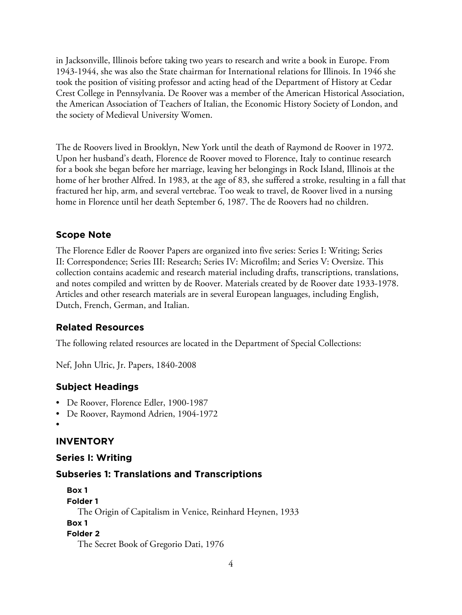in Jacksonville, Illinois before taking two years to research and write a book in Europe. From 1943-1944, she was also the State chairman for International relations for Illinois. In 1946 she took the position of visiting professor and acting head of the Department of History at Cedar Crest College in Pennsylvania. De Roover was a member of the American Historical Association, the American Association of Teachers of Italian, the Economic History Society of London, and the society of Medieval University Women.

The de Roovers lived in Brooklyn, New York until the death of Raymond de Roover in 1972. Upon her husband's death, Florence de Roover moved to Florence, Italy to continue research for a book she began before her marriage, leaving her belongings in Rock Island, Illinois at the home of her brother Alfred. In 1983, at the age of 83, she suffered a stroke, resulting in a fall that fractured her hip, arm, and several vertebrae. Too weak to travel, de Roover lived in a nursing home in Florence until her death September 6, 1987. The de Roovers had no children.

## **Scope Note**

The Florence Edler de Roover Papers are organized into five series: Series I: Writing; Series II: Correspondence; Series III: Research; Series IV: Microfilm; and Series V: Oversize. This collection contains academic and research material including drafts, transcriptions, translations, and notes compiled and written by de Roover. Materials created by de Roover date 1933-1978. Articles and other research materials are in several European languages, including English, Dutch, French, German, and Italian.

## **Related Resources**

The following related resources are located in the Department of Special Collections:

Nef, John Ulric, Jr. Papers, 1840-2008

## **Subject Headings**

- De Roover, Florence Edler, 1900-1987
- De Roover, Raymond Adrien, 1904-1972
- •

# **INVENTORY**

# **Series I: Writing**

# **Subseries 1: Translations and Transcriptions**

**Box 1 Folder 1** The Origin of Capitalism in Venice, Reinhard Heynen, 1933 **Box 1 Folder 2** The Secret Book of Gregorio Dati, 1976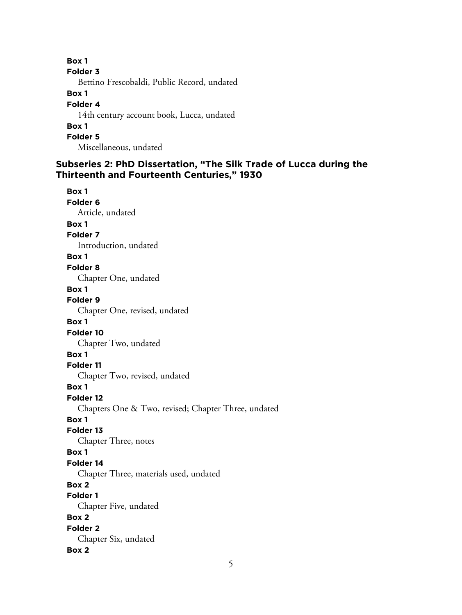**Box 1 Folder 3** Bettino Frescobaldi, Public Record, undated **Box 1 Folder 4** 14th century account book, Lucca, undated **Box 1 Folder 5**

Miscellaneous, undated

# **Subseries 2: PhD Dissertation, "The Silk Trade of Lucca during the Thirteenth and Fourteenth Centuries," 1930**

**Box 1 Folder 6** Article, undated **Box 1 Folder 7** Introduction, undated **Box 1 Folder 8** Chapter One, undated **Box 1 Folder 9** Chapter One, revised, undated **Box 1 Folder 10** Chapter Two, undated **Box 1 Folder 11** Chapter Two, revised, undated **Box 1 Folder 12** Chapters One & Two, revised; Chapter Three, undated **Box 1 Folder 13** Chapter Three, notes **Box 1 Folder 14** Chapter Three, materials used, undated **Box 2 Folder 1** Chapter Five, undated **Box 2 Folder 2** Chapter Six, undated **Box 2**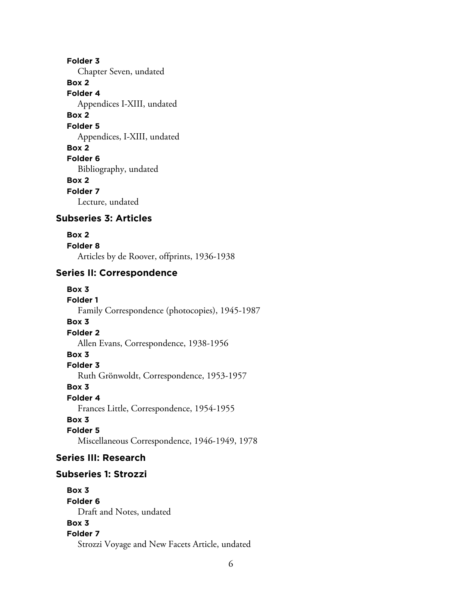**Folder 3** Chapter Seven, undated **Box 2 Folder 4** Appendices I-XIII, undated **Box 2 Folder 5** Appendices, I-XIII, undated **Box 2 Folder 6** Bibliography, undated **Box 2 Folder 7** Lecture, undated

# **Subseries 3: Articles**

#### **Box 2**

**Folder 8** Articles by de Roover, offprints, 1936-1938

#### **Series II: Correspondence**

#### **Box 3**

**Folder 1** Family Correspondence (photocopies), 1945-1987 **Box 3 Folder 2** Allen Evans, Correspondence, 1938-1956 **Box 3 Folder 3** Ruth Grönwoldt, Correspondence, 1953-1957 **Box 3 Folder 4** Frances Little, Correspondence, 1954-1955 **Box 3 Folder 5** Miscellaneous Correspondence, 1946-1949, 1978

## **Series III: Research**

## **Subseries 1: Strozzi**

**Box 3 Folder 6** Draft and Notes, undated **Box 3 Folder 7** Strozzi Voyage and New Facets Article, undated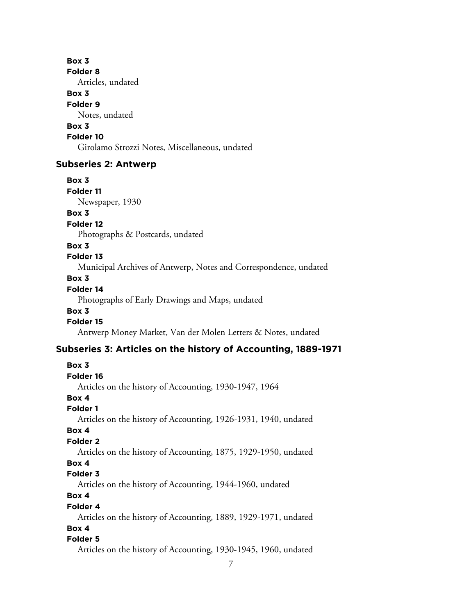#### **Box 3**

**Folder 8**

Articles, undated

## **Box 3**

#### **Folder 9**

Notes, undated

# **Box 3**

## **Folder 10**

Girolamo Strozzi Notes, Miscellaneous, undated

## **Subseries 2: Antwerp**

**Box 3 Folder 11**

Newspaper, 1930

## **Box 3**

**Folder 12**

Photographs & Postcards, undated

## **Box 3**

## **Folder 13**

Municipal Archives of Antwerp, Notes and Correspondence, undated

## **Box 3**

## **Folder 14**

Photographs of Early Drawings and Maps, undated

## **Box 3**

## **Folder 15**

Antwerp Money Market, Van der Molen Letters & Notes, undated

# **Subseries 3: Articles on the history of Accounting, 1889-1971**

## **Box 3 Folder 16** Articles on the history of Accounting, 1930-1947, 1964 **Box 4 Folder 1** Articles on the history of Accounting, 1926-1931, 1940, undated **Box 4 Folder 2** Articles on the history of Accounting, 1875, 1929-1950, undated **Box 4 Folder 3** Articles on the history of Accounting, 1944-1960, undated **Box 4 Folder 4** Articles on the history of Accounting, 1889, 1929-1971, undated **Box 4 Folder 5** Articles on the history of Accounting, 1930-1945, 1960, undated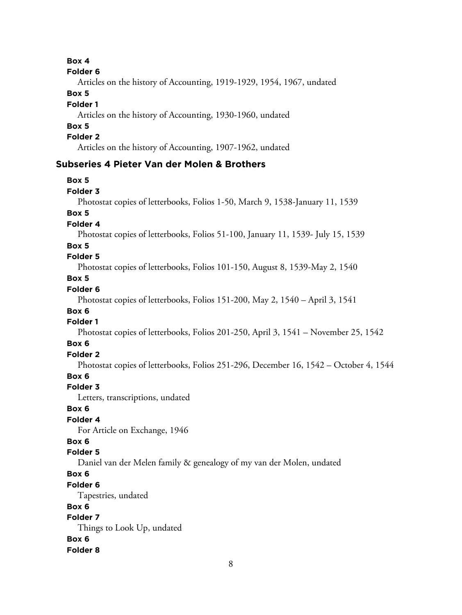## **Box 4**

#### **Folder 6**

Articles on the history of Accounting, 1919-1929, 1954, 1967, undated

#### **Box 5**

#### **Folder 1**

Articles on the history of Accounting, 1930-1960, undated

# **Box 5**

## **Folder 2**

Articles on the history of Accounting, 1907-1962, undated

## **Subseries 4 Pieter Van der Molen & Brothers**

## **Box 5**

#### **Folder 3**

Photostat copies of letterbooks, Folios 1-50, March 9, 1538-January 11, 1539

## **Box 5**

**Folder 4**

Photostat copies of letterbooks, Folios 51-100, January 11, 1539- July 15, 1539

## **Box 5**

# **Folder 5**

Photostat copies of letterbooks, Folios 101-150, August 8, 1539-May 2, 1540

## **Box 5**

## **Folder 6**

Photostat copies of letterbooks, Folios 151-200, May 2, 1540 – April 3, 1541

# **Box 6**

## **Folder 1**

Photostat copies of letterbooks, Folios 201-250, April 3, 1541 – November 25, 1542

## **Box 6**

# **Folder 2**

Photostat copies of letterbooks, Folios 251-296, December 16, 1542 – October 4, 1544

## **Box 6**

## **Folder 3**

Letters, transcriptions, undated

## **Box 6**

# **Folder 4**

For Article on Exchange, 1946

## **Box 6**

## **Folder 5**

Daniel van der Melen family & genealogy of my van der Molen, undated

# **Box 6**

## **Folder 6**

Tapestries, undated

## **Box 6**

# **Folder 7**

Things to Look Up, undated **Box 6 Folder 8**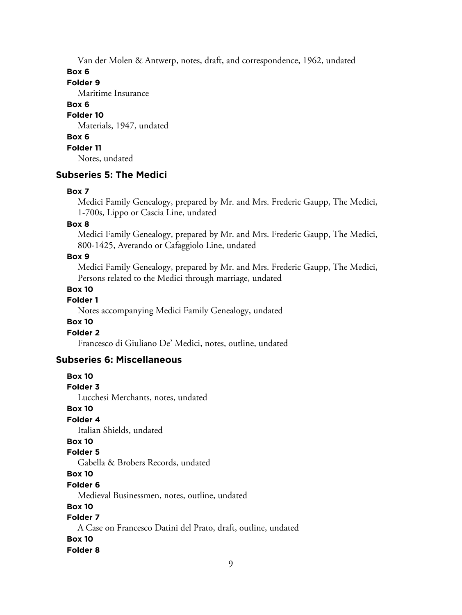Van der Molen & Antwerp, notes, draft, and correspondence, 1962, undated

**Box 6**

**Folder 9**

Maritime Insurance

**Box 6**

## **Folder 10**

Materials, 1947, undated

## **Box 6**

**Folder 11**

Notes, undated

## **Subseries 5: The Medici**

#### **Box 7**

Medici Family Genealogy, prepared by Mr. and Mrs. Frederic Gaupp, The Medici, 1-700s, Lippo or Cascia Line, undated

#### **Box 8**

Medici Family Genealogy, prepared by Mr. and Mrs. Frederic Gaupp, The Medici, 800-1425, Averando or Cafaggiolo Line, undated

#### **Box 9**

Medici Family Genealogy, prepared by Mr. and Mrs. Frederic Gaupp, The Medici, Persons related to the Medici through marriage, undated

#### **Box 10**

## **Folder 1**

Notes accompanying Medici Family Genealogy, undated

## **Box 10**

**Folder 2**

Francesco di Giuliano De' Medici, notes, outline, undated

## **Subseries 6: Miscellaneous**

**Box 10 Folder 3** Lucchesi Merchants, notes, undated **Box 10 Folder 4** Italian Shields, undated **Box 10 Folder 5** Gabella & Brobers Records, undated **Box 10 Folder 6** Medieval Businessmen, notes, outline, undated **Box 10 Folder 7** A Case on Francesco Datini del Prato, draft, outline, undated **Box 10 Folder 8**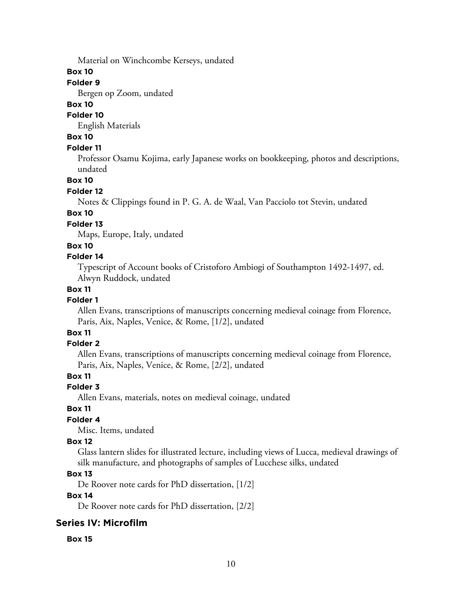Material on Winchcombe Kerseys, undated

**Box 10**

## **Folder 9**

Bergen op Zoom, undated

## **Box 10**

## **Folder 10**

English Materials

# **Box 10**

## **Folder 11**

Professor Osamu Kojima, early Japanese works on bookkeeping, photos and descriptions, undated

#### **Box 10**

#### **Folder 12**

Notes & Clippings found in P. G. A. de Waal, Van Pacciolo tot Stevin, undated

#### **Box 10**

#### **Folder 13**

Maps, Europe, Italy, undated

#### **Box 10**

#### **Folder 14**

Typescript of Account books of Cristoforo Ambiogi of Southampton 1492-1497, ed. Alwyn Ruddock, undated

#### **Box 11**

## **Folder 1**

Allen Evans, transcriptions of manuscripts concerning medieval coinage from Florence, Paris, Aix, Naples, Venice, & Rome, [1/2], undated

# **Box 11**

#### **Folder 2**

Allen Evans, transcriptions of manuscripts concerning medieval coinage from Florence, Paris, Aix, Naples, Venice, & Rome, [2/2], undated

## **Box 11**

## **Folder 3**

Allen Evans, materials, notes on medieval coinage, undated

## **Box 11**

## **Folder 4**

Misc. Items, undated

#### **Box 12**

Glass lantern slides for illustrated lecture, including views of Lucca, medieval drawings of silk manufacture, and photographs of samples of Lucchese silks, undated

## **Box 13**

De Roover note cards for PhD dissertation, [1/2]

## **Box 14**

De Roover note cards for PhD dissertation, [2/2]

## **Series IV: Microfilm**

**Box 15**